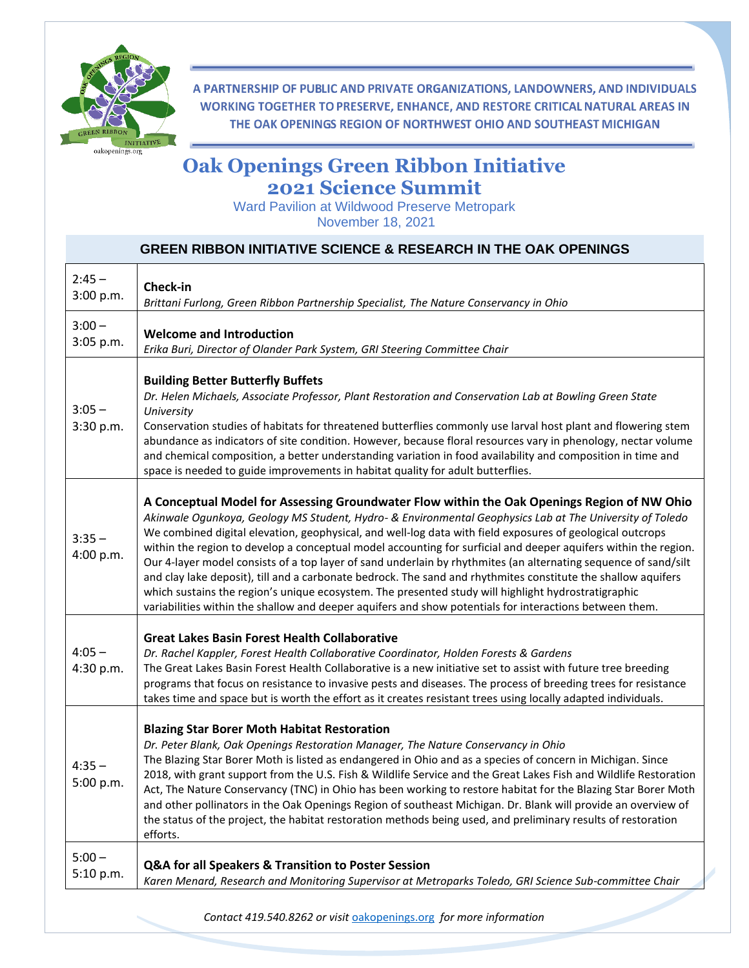

A PARTNERSHIP OF PUBLIC AND PRIVATE ORGANIZATIONS, LANDOWNERS, AND INDIVIDUALS WORKING TOGETHER TO PRESERVE, ENHANCE, AND RESTORE CRITICAL NATURAL AREAS IN THE OAK OPENINGS REGION OF NORTHWEST OHIO AND SOUTHEAST MICHIGAN

## **Oak Openings Green Ribbon Initiative 2021 Science Summit**

Ward Pavilion at Wildwood Preserve Metropark November 18, 2021

|                       | <b>GREEN RIBBON INITIATIVE SCIENCE &amp; RESEARCH IN THE OAK OPENINGS</b>                                                                                                                                                                                                                                                                                                                                                                                                                                                                                                                                                                                                                                                                                                                                                                                                                     |
|-----------------------|-----------------------------------------------------------------------------------------------------------------------------------------------------------------------------------------------------------------------------------------------------------------------------------------------------------------------------------------------------------------------------------------------------------------------------------------------------------------------------------------------------------------------------------------------------------------------------------------------------------------------------------------------------------------------------------------------------------------------------------------------------------------------------------------------------------------------------------------------------------------------------------------------|
| $2:45 -$<br>3:00 p.m. | Check-in<br>Brittani Furlong, Green Ribbon Partnership Specialist, The Nature Conservancy in Ohio                                                                                                                                                                                                                                                                                                                                                                                                                                                                                                                                                                                                                                                                                                                                                                                             |
| $3:00 -$<br>3:05 p.m. | <b>Welcome and Introduction</b><br>Erika Buri, Director of Olander Park System, GRI Steering Committee Chair                                                                                                                                                                                                                                                                                                                                                                                                                                                                                                                                                                                                                                                                                                                                                                                  |
| $3:05 -$<br>3:30 p.m. | <b>Building Better Butterfly Buffets</b><br>Dr. Helen Michaels, Associate Professor, Plant Restoration and Conservation Lab at Bowling Green State<br>University<br>Conservation studies of habitats for threatened butterflies commonly use larval host plant and flowering stem<br>abundance as indicators of site condition. However, because floral resources vary in phenology, nectar volume<br>and chemical composition, a better understanding variation in food availability and composition in time and<br>space is needed to guide improvements in habitat quality for adult butterflies.                                                                                                                                                                                                                                                                                          |
| $3:35 -$<br>4:00 p.m. | A Conceptual Model for Assessing Groundwater Flow within the Oak Openings Region of NW Ohio<br>Akinwale Ogunkoya, Geology MS Student, Hydro- & Environmental Geophysics Lab at The University of Toledo<br>We combined digital elevation, geophysical, and well-log data with field exposures of geological outcrops<br>within the region to develop a conceptual model accounting for surficial and deeper aquifers within the region.<br>Our 4-layer model consists of a top layer of sand underlain by rhythmites (an alternating sequence of sand/silt<br>and clay lake deposit), till and a carbonate bedrock. The sand and rhythmites constitute the shallow aquifers<br>which sustains the region's unique ecosystem. The presented study will highlight hydrostratigraphic<br>variabilities within the shallow and deeper aquifers and show potentials for interactions between them. |
| $4:05 -$<br>4:30 p.m. | <b>Great Lakes Basin Forest Health Collaborative</b><br>Dr. Rachel Kappler, Forest Health Collaborative Coordinator, Holden Forests & Gardens<br>The Great Lakes Basin Forest Health Collaborative is a new initiative set to assist with future tree breeding<br>programs that focus on resistance to invasive pests and diseases. The process of breeding trees for resistance<br>takes time and space but is worth the effort as it creates resistant trees using locally adapted individuals.                                                                                                                                                                                                                                                                                                                                                                                             |
| $4:35 -$<br>5:00 p.m. | <b>Blazing Star Borer Moth Habitat Restoration</b><br>Dr. Peter Blank, Oak Openings Restoration Manager, The Nature Conservancy in Ohio<br>The Blazing Star Borer Moth is listed as endangered in Ohio and as a species of concern in Michigan. Since<br>2018, with grant support from the U.S. Fish & Wildlife Service and the Great Lakes Fish and Wildlife Restoration<br>Act, The Nature Conservancy (TNC) in Ohio has been working to restore habitat for the Blazing Star Borer Moth<br>and other pollinators in the Oak Openings Region of southeast Michigan. Dr. Blank will provide an overview of<br>the status of the project, the habitat restoration methods being used, and preliminary results of restoration<br>efforts.                                                                                                                                                      |
| $5:00 -$<br>5:10 p.m. | Q&A for all Speakers & Transition to Poster Session<br>Karen Menard, Research and Monitoring Supervisor at Metroparks Toledo, GRI Science Sub-committee Chair                                                                                                                                                                                                                                                                                                                                                                                                                                                                                                                                                                                                                                                                                                                                 |

*Contact 419.540.8262 or visit* [oakopenings.org](file:///C:/Users/brittani.furlong/Desktop/oakopenings.org) *for more information*